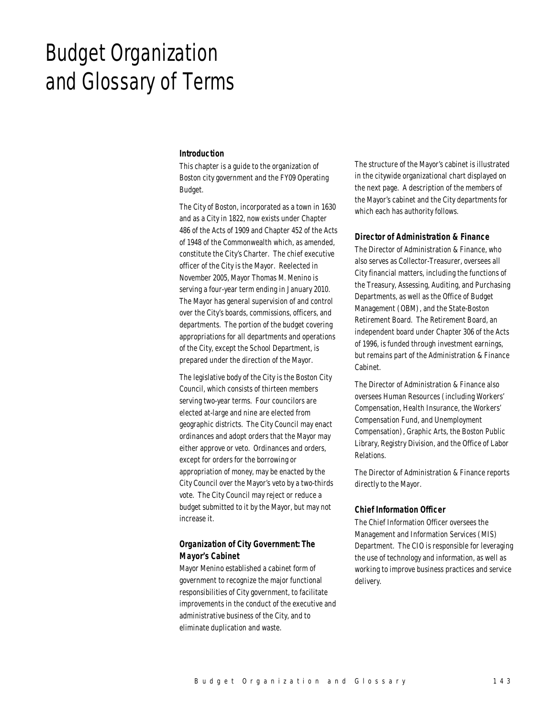# Budget Organization and Glossary of Terms

#### *Introduction*

This chapter is a guide to the organization of Boston city government and the FY09 Operating Budget.

The City of Boston, incorporated as a town in 1630 and as a City in 1822, now exists under Chapter 486 of the Acts of 1909 and Chapter 452 of the Acts of 1948 of the Commonwealth which, as amended, constitute the City's Charter. The chief executive officer of the City is the Mayor. Reelected in November 2005, Mayor Thomas M. Menino is serving a four-year term ending in January 2010. The Mayor has general supervision of and control over the City's boards, commissions, officers, and departments. The portion of the budget covering appropriations for all departments and operations of the City, except the School Department, is prepared under the direction of the Mayor.

The legislative body of the City is the Boston City Council, which consists of thirteen members serving two-year terms. Four councilors are elected at-large and nine are elected from geographic districts. The City Council may enact ordinances and adopt orders that the Mayor may either approve or veto. Ordinances and orders, except for orders for the borrowing or appropriation of money, may be enacted by the City Council over the Mayor's veto by a two-thirds vote. The City Council may reject or reduce a budget submitted to it by the Mayor, but may not increase it.

# *Organization of City Government: The Mayor's Cabinet*

Mayor Menino established a cabinet form of government to recognize the major functional responsibilities of City government, to facilitate improvements in the conduct of the executive and administrative business of the City, and to eliminate duplication and waste.

The structure of the Mayor's cabinet is illustrated in the citywide organizational chart displayed on the next page. A description of the members of the Mayor's cabinet and the City departments for which each has authority follows.

#### *Director of Administration & Finance*

The Director of Administration & Finance, who also serves as Collector-Treasurer, oversees all City financial matters, including the functions of the Treasury, Assessing, Auditing, and Purchasing Departments, as well as the Office of Budget Management (OBM), and the State-Boston Retirement Board. The Retirement Board, an independent board under Chapter 306 of the Acts of 1996, is funded through investment earnings, but remains part of the Administration & Finance Cabinet.

The Director of Administration & Finance also oversees Human Resources (including Workers' Compensation, Health Insurance, the Workers' Compensation Fund, and Unemployment Compensation), Graphic Arts, the Boston Public Library, Registry Division, and the Office of Labor Relations.

The Director of Administration & Finance reports directly to the Mayor.

#### *Chief Information Officer*

The Chief Information Officer oversees the Management and Information Services (MIS) Department. The CIO is responsible for leveraging the use of technology and information, as well as working to improve business practices and service delivery.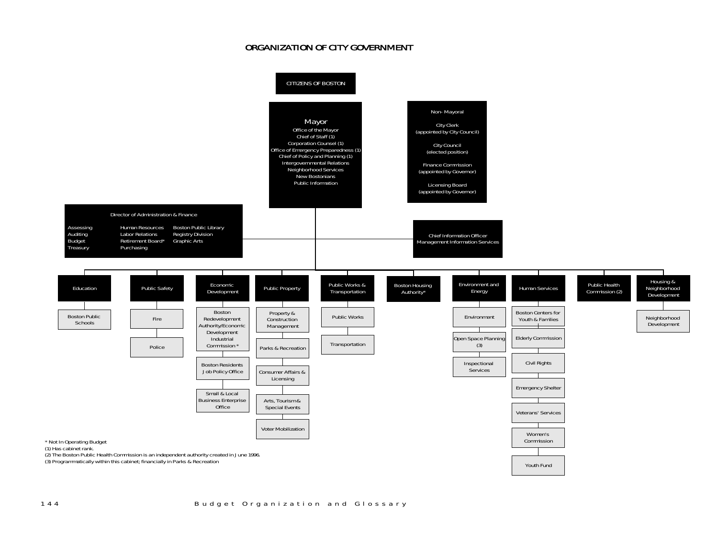# ORGANIZATION OF CITY GOVERNMENT

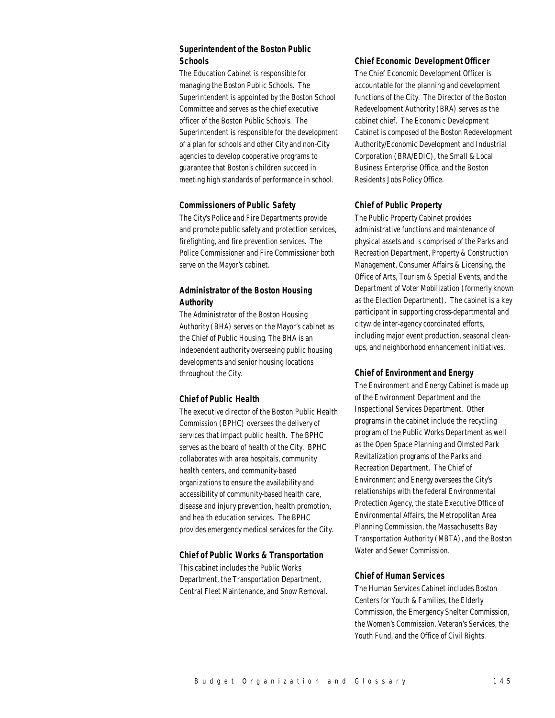# *Superintendent of the Boston Public Schools*

The Education Cabinet is responsible for managing the Boston Public Schools. The Superintendent is appointed by the Boston School Committee and serves as the chief executive officer of the Boston Public Schools. The Superintendent is responsible for the development of a plan for schools and other City and non-City agencies to develop cooperative programs to guarantee that Boston's children succeed in meeting high standards of performance in school.

## *Commissioners of Public Safety*

The City's Police and Fire Departments provide and promote public safety and protection services, firefighting, and fire prevention services. The Police Commissioner and Fire Commissioner both serve on the Mayor's cabinet.

# *Administrator of the Boston Housing Authority*

The Administrator of the Boston Housing Authority (BHA) serves on the Mayor's cabinet as the Chief of Public Housing. The BHA is an independent authority overseeing public housing developments and senior housing locations throughout the City.

## *Chief of Public Health*

The executive director of the Boston Public Health Commission (BPHC) oversees the delivery of services that impact public health. The BPHC serves as the board of health of the City. BPHC collaborates with area hospitals, community health centers, and community-based organizations to ensure the availability and accessibility of community-based health care, disease and injury prevention, health promotion, and health education services. The BPHC provides emergency medical services for the City.

## *Chief of Public Works & Transportation*

This cabinet includes the Public Works Department, the Transportation Department, Central Fleet Maintenance, and Snow Removal.

#### *Chief Economic Development Officer*

The Chief Economic Development Officer is accountable for the planning and development functions of the City. The Director of the Boston Redevelopment Authority (BRA) serves as the cabinet chief. The Economic Development Cabinet is composed of the Boston Redevelopment Authority/Economic Development and Industrial Corporation (BRA/EDIC), the Small & Local Business Enterprise Office, and the Boston Residents Jobs Policy Office.

## *Chief of Public Property*

The Public Property Cabinet provides administrative functions and maintenance of physical assets and is comprised of the Parks and Recreation Department, Property & Construction Management, Consumer Affairs & Licensing, the Office of Arts, Tourism & Special Events, and the Department of Voter Mobilization (formerly known as the Election Department). The cabinet is a key participant in supporting cross-departmental and citywide inter-agency coordinated efforts, including major event production, seasonal cleanups, and neighborhood enhancement initiatives.

## *Chief of Environment and Energy*

The Environment and Energy Cabinet is made up of the Environment Department and the Inspectional Services Department. Other programs in the cabinet include the recycling program of the Public Works Department as well as the Open Space Planning and Olmsted Park Revitalization programs of the Parks and Recreation Department. The Chief of Environment and Energy oversees the City's relationships with the federal Environmental Protection Agency, the state Executive Office of Environmental Affairs, the Metropolitan Area Planning Commission, the Massachusetts Bay Transportation Authority (MBTA), and the Boston Water and Sewer Commission.

## *Chief of Human Services*

The Human Services Cabinet includes Boston Centers for Youth & Families, the Elderly Commission, the Emergency Shelter Commission, the Women's Commission, Veteran's Services, the Youth Fund, and the Office of Civil Rights.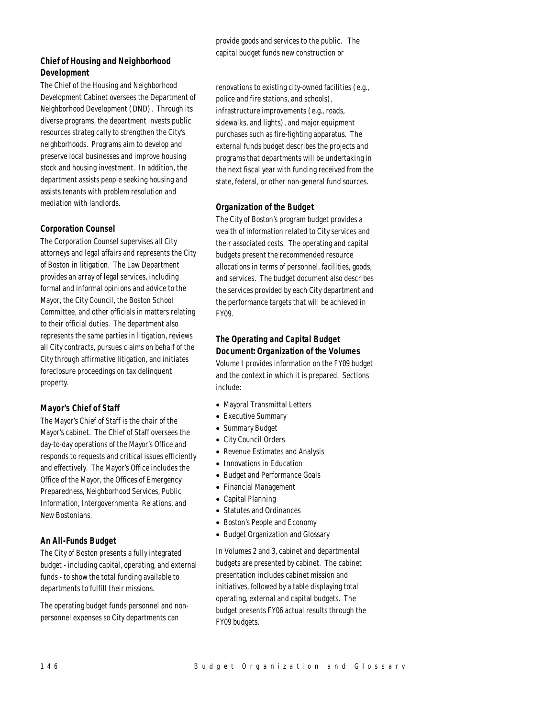# *Chief of Housing and Neighborhood Development*

The Chief of the Housing and Neighborhood Development Cabinet oversees the Department of Neighborhood Development (DND). Through its diverse programs, the department invests public resources strategically to strengthen the City's neighborhoods. Programs aim to develop and preserve local businesses and improve housing stock and housing investment. In addition, the department assists people seeking housing and assists tenants with problem resolution and mediation with landlords.

## *Corporation Counsel*

The Corporation Counsel supervises all City attorneys and legal affairs and represents the City of Boston in litigation. The Law Department provides an array of legal services, including formal and informal opinions and advice to the Mayor, the City Council, the Boston School Committee, and other officials in matters relating to their official duties. The department also represents the same parties in litigation, reviews all City contracts, pursues claims on behalf of the City through affirmative litigation, and initiates foreclosure proceedings on tax delinquent property.

# *Mayor's Chief of Staff*

The Mayor's Chief of Staff is the chair of the Mayor's cabinet. The Chief of Staff oversees the day-to-day operations of the Mayor's Office and responds to requests and critical issues efficiently and effectively. The Mayor's Office includes the Office of the Mayor, the Offices of Emergency Preparedness, Neighborhood Services, Public Information, Intergovernmental Relations, and New Bostonians.

# *An All-Funds Budget*

The City of Boston presents a fully integrated budget - including capital, operating, and external funds - to show the total funding available to departments to fulfill their missions.

The operating budget funds personnel and nonpersonnel expenses so City departments can

provide goods and services to the public. The capital budget funds new construction or

renovations to existing city-owned facilities (e.g., police and fire stations, and schools), infrastructure improvements (e.g., roads, sidewalks, and lights), and major equipment purchases such as fire-fighting apparatus. The external funds budget describes the projects and programs that departments will be undertaking in the next fiscal year with funding received from the state, federal, or other non-general fund sources.

# *Organization of the Budget*

The City of Boston's program budget provides a wealth of information related to City services and their associated costs. The operating and capital budgets present the recommended resource allocations in terms of personnel, facilities, goods, and services. The budget document also describes the services provided by each City department and the performance targets that will be achieved in FY09.

# *The Operating and Capital Budget Document: Organization of the Volumes*

Volume I provides information on the FY09 budget and the context in which it is prepared. Sections include:

- Mayoral Transmittal Letters
- Executive Summary
- Summary Budget
- City Council Orders
- Revenue Estimates and Analysis
- Innovations in Education
- Budget and Performance Goals
- Financial Management
- Capital Planning
- Statutes and Ordinances
- Boston's People and Economy
- Budget Organization and Glossary

In Volumes 2 and 3, cabinet and departmental budgets are presented by cabinet. The cabinet presentation includes cabinet mission and initiatives, followed by a table displaying total operating, external and capital budgets. The budget presents FY06 actual results through the FY09 budgets.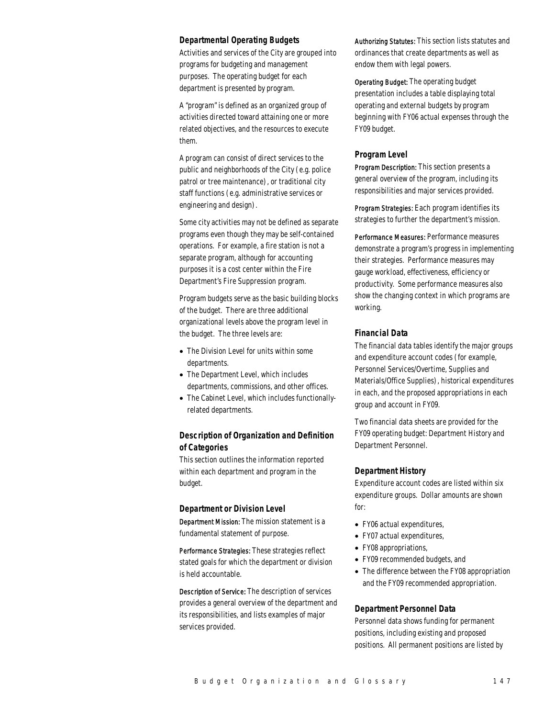#### *Departmental Operating Budgets*

Activities and services of the City are grouped into programs for budgeting and management purposes. The operating budget for each department is presented by program.

A "program" is defined as an organized group of activities directed toward attaining one or more related objectives, and the resources to execute them.

A program can consist of direct services to the public and neighborhoods of the City (e.g. police patrol or tree maintenance), or traditional city staff functions (e.g. administrative services or engineering and design).

Some city activities may not be defined as separate programs even though they may be self-contained operations. For example, a fire station is not a separate program, although for accounting purposes it is a cost center within the Fire Department's Fire Suppression program.

Program budgets serve as the basic building blocks of the budget. There are three additional organizational levels above the program level in the budget. The three levels are:

- The Division Level for units within some departments.
- The Department Level, which includes departments, commissions, and other offices.
- The Cabinet Level, which includes functionallyrelated departments.

## *Description of Organization and Definition of Categories*

This section outlines the information reported within each department and program in the budget.

## *Department or Division Level*

Department Mission: The mission statement is a fundamental statement of purpose.

Performance Strategies: These strategies reflect stated goals for which the department or division is held accountable.

Description of Service: The description of services provides a general overview of the department and its responsibilities, and lists examples of major services provided.

Authorizing Statutes: This section lists statutes and ordinances that create departments as well as endow them with legal powers.

Operating Budget: The operating budget presentation includes a table displaying total operating and external budgets by program beginning with FY06 actual expenses through the FY09 budget.

#### *Program Level*

Program Description: This section presents a general overview of the program, including its responsibilities and major services provided.

Program Strategies: Each program identifies its strategies to further the department's mission.

Performance Measures: Performance measures demonstrate a program's progress in implementing their strategies. Performance measures may gauge workload, effectiveness, efficiency or productivity. Some performance measures also show the changing context in which programs are working.

## *Financial Data*

The financial data tables identify the major groups and expenditure account codes (for example, Personnel Services/Overtime, Supplies and Materials/Office Supplies), historical expenditures in each, and the proposed appropriations in each group and account in FY09.

Two financial data sheets are provided for the FY09 operating budget: Department History and Department Personnel.

#### *Department History*

Expenditure account codes are listed within six expenditure groups. Dollar amounts are shown for:

- FY06 actual expenditures,
- FY07 actual expenditures,
- FY08 appropriations,
- FY09 recommended budgets, and
- The difference between the FY08 appropriation and the FY09 recommended appropriation.

## *Department Personnel Data*

Personnel data shows funding for permanent positions, including existing and proposed positions. All permanent positions are listed by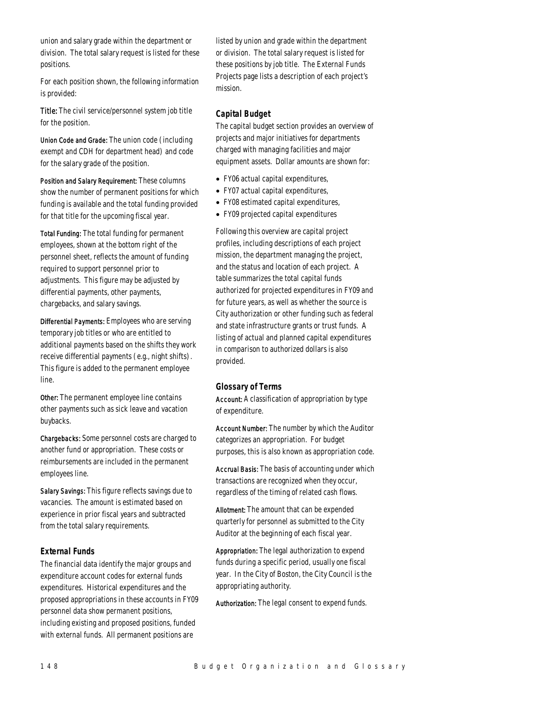union and salary grade within the department or division. The total salary request is listed for these positions.

For each position shown, the following information is provided:

Title: The civil service/personnel system job title for the position.

Union Code and Grade: The union code (including exempt and CDH for department head) and code for the salary grade of the position.

Position and Salary Requirement: These columns show the number of permanent positions for which funding is available and the total funding provided for that title for the upcoming fiscal year.

Total Funding: The total funding for permanent employees, shown at the bottom right of the personnel sheet, reflects the amount of funding required to support personnel prior to adjustments. This figure may be adjusted by differential payments, other payments, chargebacks, and salary savings.

Differential Payments: Employees who are serving temporary job titles or who are entitled to additional payments based on the shifts they work receive differential payments (e.g., night shifts). This figure is added to the permanent employee line.

Other: The permanent employee line contains other payments such as sick leave and vacation buybacks.

Chargebacks: Some personnel costs are charged to another fund or appropriation. These costs or reimbursements are included in the permanent employees line.

Salary Savings: This figure reflects savings due to vacancies. The amount is estimated based on experience in prior fiscal years and subtracted from the total salary requirements.

## *External Funds*

The financial data identify the major groups and expenditure account codes for external funds expenditures. Historical expenditures and the proposed appropriations in these accounts in FY09 personnel data show permanent positions, including existing and proposed positions, funded with external funds. All permanent positions are

listed by union and grade within the department or division. The total salary request is listed for these positions by job title. The External Funds Projects page lists a description of each project's mission.

## *Capital Budget*

The capital budget section provides an overview of projects and major initiatives for departments charged with managing facilities and major equipment assets. Dollar amounts are shown for:

- FY06 actual capital expenditures,
- FY07 actual capital expenditures,
- FY08 estimated capital expenditures,
- FY09 projected capital expenditures

Following this overview are capital project profiles, including descriptions of each project mission, the department managing the project, and the status and location of each project. A table summarizes the total capital funds authorized for projected expenditures in FY09 and for future years, as well as whether the source is City authorization or other funding such as federal and state infrastructure grants or trust funds. A listing of actual and planned capital expenditures in comparison to authorized dollars is also provided.

## *Glossary of Terms*

Account: A classification of appropriation by type of expenditure.

Account Number: The number by which the Auditor categorizes an appropriation. For budget purposes, this is also known as appropriation code.

Accrual Basis: The basis of accounting under which transactions are recognized when they occur, regardless of the timing of related cash flows.

Allotment: The amount that can be expended quarterly for personnel as submitted to the City Auditor at the beginning of each fiscal year.

Appropriation: The legal authorization to expend funds during a specific period, usually one fiscal year. In the City of Boston, the City Council is the appropriating authority.

Authorization: The legal consent to expend funds.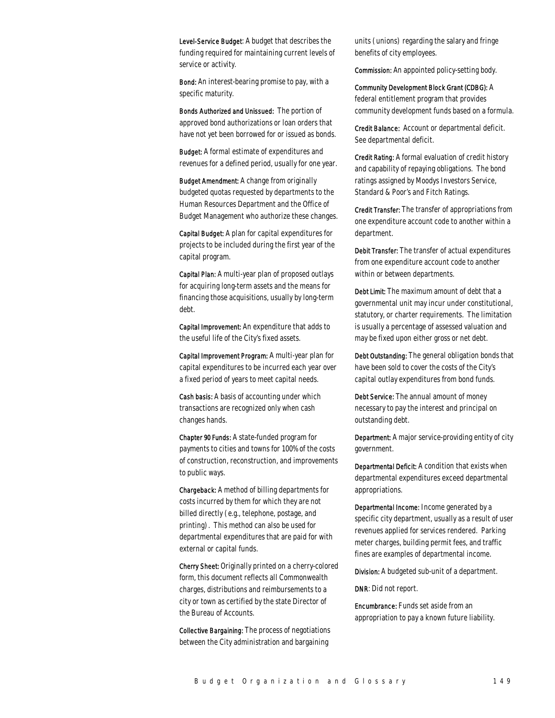Level-Service Budget: A budget that describes the funding required for maintaining current levels of service or activity.

Bond: An interest-bearing promise to pay, with a specific maturity.

Bonds Authorized and Unissued: The portion of approved bond authorizations or loan orders that have not yet been borrowed for or issued as bonds.

Budget: A formal estimate of expenditures and revenues for a defined period, usually for one year.

Budget Amendment: A change from originally budgeted quotas requested by departments to the Human Resources Department and the Office of Budget Management who authorize these changes.

Capital Budget: A plan for capital expenditures for projects to be included during the first year of the capital program.

Capital Plan: A multi-year plan of proposed outlays for acquiring long-term assets and the means for financing those acquisitions, usually by long-term debt.

Capital Improvement: An expenditure that adds to the useful life of the City's fixed assets.

Capital Improvement Program: A multi-year plan for capital expenditures to be incurred each year over a fixed period of years to meet capital needs.

Cash basis: A basis of accounting under which transactions are recognized only when cash changes hands.

Chapter 90 Funds: A state-funded program for payments to cities and towns for 100% of the costs of construction, reconstruction, and improvements to public ways.

Chargeback: A method of billing departments for costs incurred by them for which they are not billed directly (e.g., telephone, postage, and printing). This method can also be used for departmental expenditures that are paid for with external or capital funds.

Cherry Sheet: Originally printed on a cherry-colored form, this document reflects all Commonwealth charges, distributions and reimbursements to a city or town as certified by the state Director of the Bureau of Accounts.

Collective Bargaining: The process of negotiations between the City administration and bargaining

units (unions) regarding the salary and fringe benefits of city employees.

Commission: An appointed policy-setting body.

Community Development Block Grant (CDBG): A federal entitlement program that provides community development funds based on a formula.

Credit Balance: Account or departmental deficit. See departmental deficit.

Credit Rating: A formal evaluation of credit history and capability of repaying obligations. The bond ratings assigned by Moodys Investors Service, Standard & Poor's and Fitch Ratings.

Credit Transfer: The transfer of appropriations from one expenditure account code to another within a department.

Debit Transfer: The transfer of actual expenditures from one expenditure account code to another within or between departments.

Debt Limit: The maximum amount of debt that a governmental unit may incur under constitutional, statutory, or charter requirements. The limitation is usually a percentage of assessed valuation and may be fixed upon either gross or net debt.

Debt Outstanding: The general obligation bonds that have been sold to cover the costs of the City's capital outlay expenditures from bond funds.

Debt Service: The annual amount of money necessary to pay the interest and principal on outstanding debt.

Department: A major service-providing entity of city government.

Departmental Deficit: A condition that exists when departmental expenditures exceed departmental appropriations.

Departmental Income: Income generated by a specific city department, usually as a result of user revenues applied for services rendered. Parking meter charges, building permit fees, and traffic fines are examples of departmental income.

**Division:** A budgeted sub-unit of a department.

DNR: Did not report.

Encumbrance: Funds set aside from an appropriation to pay a known future liability.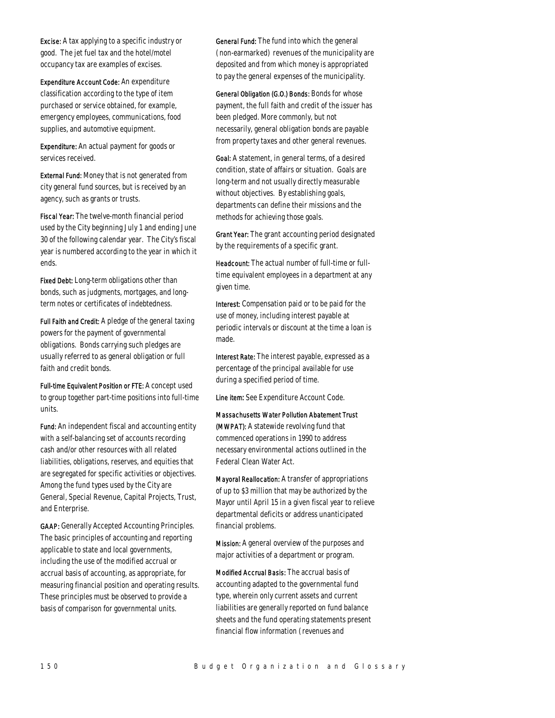Excise: A tax applying to a specific industry or good. The jet fuel tax and the hotel/motel occupancy tax are examples of excises.

Expenditure Account Code: An expenditure classification according to the type of item purchased or service obtained, for example, emergency employees, communications, food supplies, and automotive equipment.

Expenditure: An actual payment for goods or services received.

External Fund: Money that is not generated from city general fund sources, but is received by an agency, such as grants or trusts.

Fiscal Year: The twelve-month financial period used by the City beginning July 1 and ending June 30 of the following calendar year. The City's fiscal year is numbered according to the year in which it ends.

Fixed Debt: Long-term obligations other than bonds, such as judgments, mortgages, and longterm notes or certificates of indebtedness.

Full Faith and Credit: A pledge of the general taxing powers for the payment of governmental obligations. Bonds carrying such pledges are usually referred to as general obligation or full faith and credit bonds.

Full-time Equivalent Position or FTE: A concept used to group together part-time positions into full-time units.

Fund: An independent fiscal and accounting entity with a self-balancing set of accounts recording cash and/or other resources with all related liabilities, obligations, reserves, and equities that are segregated for specific activities or objectives. Among the fund types used by the City are General, Special Revenue, Capital Projects, Trust, and Enterprise.

GAAP: Generally Accepted Accounting Principles. The basic principles of accounting and reporting applicable to state and local governments, including the use of the modified accrual or accrual basis of accounting, as appropriate, for measuring financial position and operating results. These principles must be observed to provide a basis of comparison for governmental units.

General Fund: The fund into which the general (non-earmarked) revenues of the municipality are deposited and from which money is appropriated to pay the general expenses of the municipality.

General Obligation (G.O.) Bonds: Bonds for whose payment, the full faith and credit of the issuer has been pledged. More commonly, but not necessarily, general obligation bonds are payable from property taxes and other general revenues.

Goal: A statement, in general terms, of a desired condition, state of affairs or situation. Goals are long-term and not usually directly measurable without objectives. By establishing goals, departments can define their missions and the methods for achieving those goals.

Grant Year: The grant accounting period designated by the requirements of a specific grant.

Headcount: The actual number of full-time or fulltime equivalent employees in a department at any given time.

Interest: Compensation paid or to be paid for the use of money, including interest payable at periodic intervals or discount at the time a loan is made.

Interest Rate: The interest payable, expressed as a percentage of the principal available for use during a specified period of time.

Line item: See Expenditure Account Code.

Massachusetts Water Pollution Abatement Trust (MWPAT): A statewide revolving fund that commenced operations in 1990 to address necessary environmental actions outlined in the Federal Clean Water Act.

Mayoral Reallocation: A transfer of appropriations of up to \$3 million that may be authorized by the Mayor until April 15 in a given fiscal year to relieve departmental deficits or address unanticipated financial problems.

Mission: A general overview of the purposes and major activities of a department or program.

Modified Accrual Basis: The accrual basis of accounting adapted to the governmental fund type, wherein only current assets and current liabilities are generally reported on fund balance sheets and the fund operating statements present financial flow information (revenues and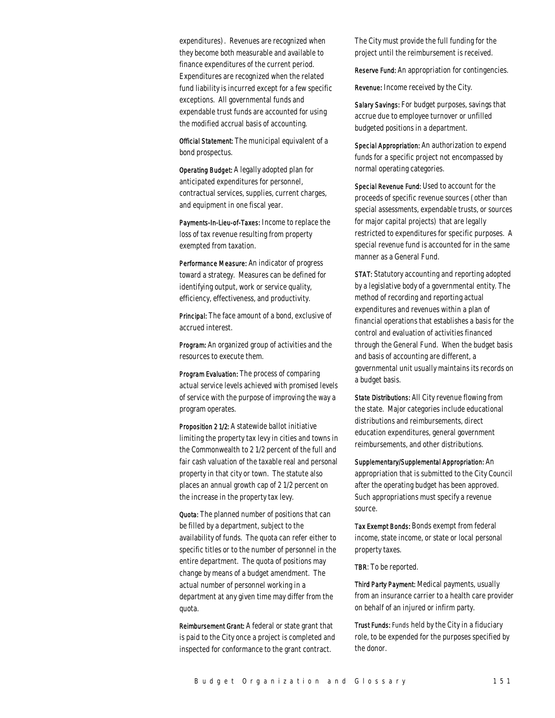expenditures). Revenues are recognized when they become both measurable and available to finance expenditures of the current period. Expenditures are recognized when the related fund liability is incurred except for a few specific exceptions. All governmental funds and expendable trust funds are accounted for using the modified accrual basis of accounting.

Official Statement: The municipal equivalent of a bond prospectus.

Operating Budget: A legally adopted plan for anticipated expenditures for personnel, contractual services, supplies, current charges, and equipment in one fiscal year.

Payments-In-Lieu-of-Taxes: Income to replace the loss of tax revenue resulting from property exempted from taxation.

Performance Measure: An indicator of progress toward a strategy. Measures can be defined for identifying output, work or service quality, efficiency, effectiveness, and productivity.

Principal: The face amount of a bond, exclusive of accrued interest.

Program: An organized group of activities and the resources to execute them.

Program Evaluation: The process of comparing actual service levels achieved with promised levels of service with the purpose of improving the way a program operates.

Proposition 2 1/2: A statewide ballot initiative limiting the property tax levy in cities and towns in the Commonwealth to 2 1/2 percent of the full and fair cash valuation of the taxable real and personal property in that city or town. The statute also places an annual growth cap of 2 1/2 percent on the increase in the property tax levy.

Quota: The planned number of positions that can be filled by a department, subject to the availability of funds. The quota can refer either to specific titles or to the number of personnel in the entire department. The quota of positions may change by means of a budget amendment. The actual number of personnel working in a department at any given time may differ from the quota.

Reimbursement Grant: A federal or state grant that is paid to the City once a project is completed and inspected for conformance to the grant contract.

The City must provide the full funding for the project until the reimbursement is received.

Reserve Fund: An appropriation for contingencies.

Revenue: Income received by the City.

Salary Savings: For budget purposes, savings that accrue due to employee turnover or unfilled budgeted positions in a department.

Special Appropriation: An authorization to expend funds for a specific project not encompassed by normal operating categories.

Special Revenue Fund: Used to account for the proceeds of specific revenue sources (other than special assessments, expendable trusts, or sources for major capital projects) that are legally restricted to expenditures for specific purposes. A special revenue fund is accounted for in the same manner as a General Fund.

STAT: Statutory accounting and reporting adopted by a legislative body of a governmental entity. The method of recording and reporting actual expenditures and revenues within a plan of financial operations that establishes a basis for the control and evaluation of activities financed through the General Fund. When the budget basis and basis of accounting are different, a governmental unit usually maintains its records on a budget basis.

State Distributions: All City revenue flowing from the state. Major categories include educational distributions and reimbursements, direct education expenditures, general government reimbursements, and other distributions.

Supplementary/Supplemental Appropriation: An appropriation that is submitted to the City Council after the operating budget has been approved. Such appropriations must specify a revenue source.

Tax Exempt Bonds: Bonds exempt from federal income, state income, or state or local personal property taxes.

TBR: To be reported.

Third Party Payment: Medical payments, usually from an insurance carrier to a health care provider on behalf of an injured or infirm party.

Trust Funds: Funds held by the City in a fiduciary role, to be expended for the purposes specified by the donor.